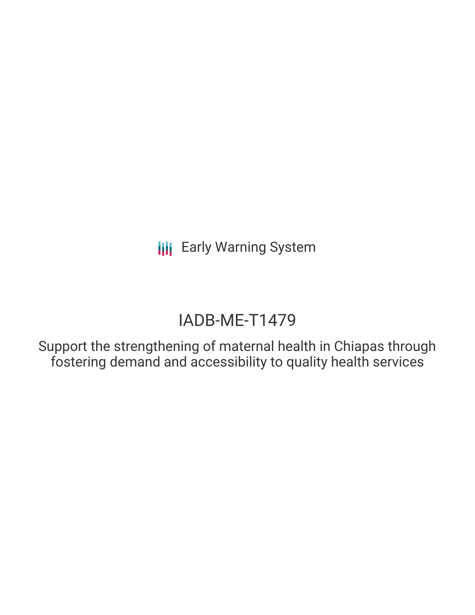**III** Early Warning System

# IADB-ME-T1479

Support the strengthening of maternal health in Chiapas through fostering demand and accessibility to quality health services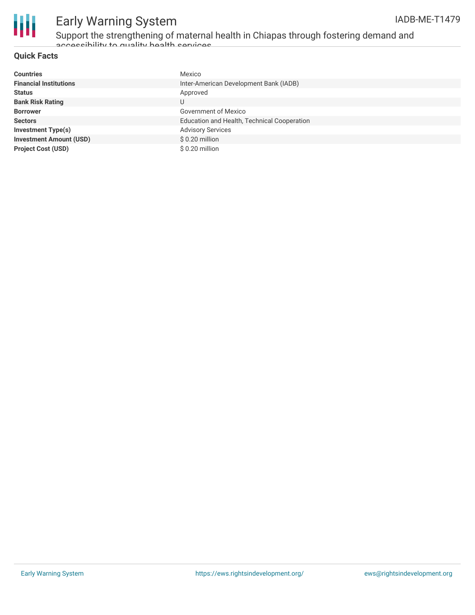

## Early Warning System

Support the strengthening of maternal health in Chiapas through fostering demand and accessibility to quality health cervices

### **Quick Facts**

| <b>Countries</b>               | Mexico                                      |
|--------------------------------|---------------------------------------------|
| <b>Financial Institutions</b>  | Inter-American Development Bank (IADB)      |
| <b>Status</b>                  | Approved                                    |
| <b>Bank Risk Rating</b>        | U                                           |
| <b>Borrower</b>                | Government of Mexico                        |
| <b>Sectors</b>                 | Education and Health, Technical Cooperation |
| <b>Investment Type(s)</b>      | <b>Advisory Services</b>                    |
| <b>Investment Amount (USD)</b> | \$0.20 million                              |
| <b>Project Cost (USD)</b>      | \$0.20 million                              |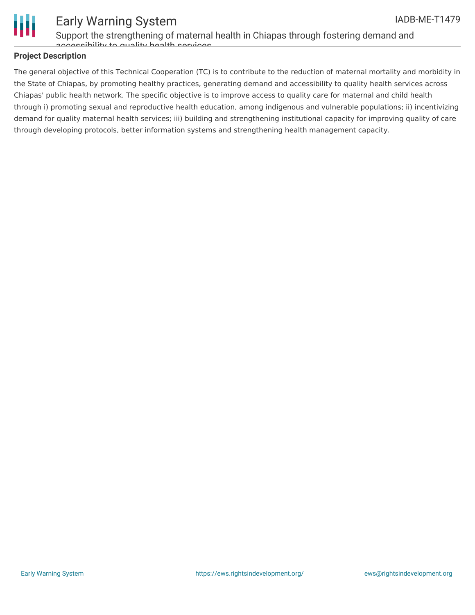

### Early Warning System

Support the strengthening of maternal health in Chiapas through fostering demand and accessibility to quality health convices

### **Project Description**

The general objective of this Technical Cooperation (TC) is to contribute to the reduction of maternal mortality and morbidity in the State of Chiapas, by promoting healthy practices, generating demand and accessibility to quality health services across Chiapas' public health network. The specific objective is to improve access to quality care for maternal and child health through i) promoting sexual and reproductive health education, among indigenous and vulnerable populations; ii) incentivizing demand for quality maternal health services; iii) building and strengthening institutional capacity for improving quality of care through developing protocols, better information systems and strengthening health management capacity.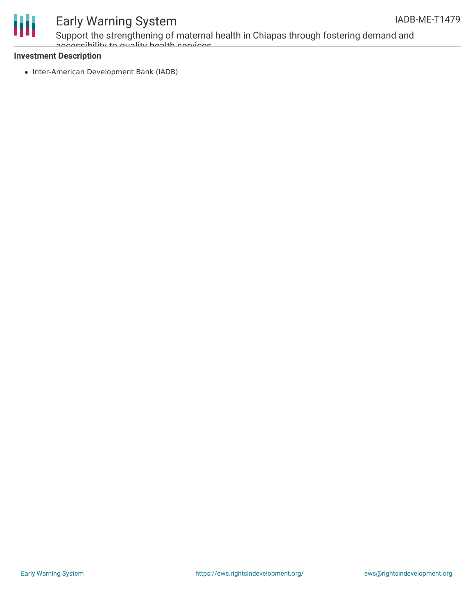

### Early Warning System

Support the strengthening of maternal health in Chiapas through fostering demand and accessibility to quality health cervices

### **Investment Description**

• Inter-American Development Bank (IADB)